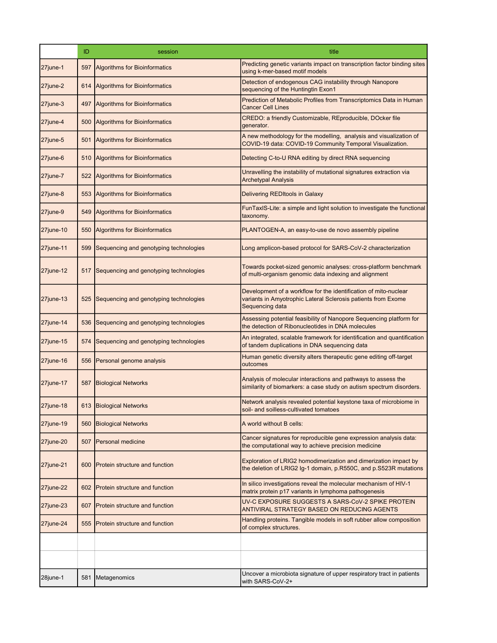|                 | ID  | session                                | title                                                                                                                                                |
|-----------------|-----|----------------------------------------|------------------------------------------------------------------------------------------------------------------------------------------------------|
| 27june-1        | 597 | <b>Algorithms for Bioinformatics</b>   | Predicting genetic variants impact on transcription factor binding sites<br>using k-mer-based motif models                                           |
| 27june-2        | 614 | <b>Algorithms for Bioinformatics</b>   | Detection of endogenous CAG instability through Nanopore<br>sequencing of the Huntingtin Exon1                                                       |
| 27june-3        | 497 | <b>Algorithms for Bioinformatics</b>   | Prediction of Metabolic Profiles from Transcriptomics Data in Human<br><b>Cancer Cell Lines</b>                                                      |
| 27june-4        | 500 | <b>Algorithms for Bioinformatics</b>   | CREDO: a friendly Customizable, REproducible, DOcker file<br>generator.                                                                              |
| 27june-5        | 501 | <b>Algorithms for Bioinformatics</b>   | A new methodology for the modelling, analysis and visualization of<br>COVID-19 data: COVID-19 Community Temporal Visualization.                      |
| 27june-6        | 510 | <b>Algorithms for Bioinformatics</b>   | Detecting C-to-U RNA editing by direct RNA sequencing                                                                                                |
| 27june-7        | 522 | Algorithms for Bioinformatics          | Unravelling the instability of mutational signatures extraction via<br><b>Archetypal Analysis</b>                                                    |
| 27june-8        | 553 | <b>Algorithms for Bioinformatics</b>   | Delivering REDItools in Galaxy                                                                                                                       |
| 27june-9        | 549 | <b>Algorithms for Bioinformatics</b>   | FunTaxIS-Lite: a simple and light solution to investigate the functional<br>taxonomy.                                                                |
| $27$ june-10    | 550 | <b>Algorithms for Bioinformatics</b>   | PLANTOGEN-A, an easy-to-use de novo assembly pipeline                                                                                                |
| $27$ june-11    | 599 | Sequencing and genotyping technologies | Long amplicon-based protocol for SARS-CoV-2 characterization                                                                                         |
| $27$ june-12    | 517 | Sequencing and genotyping technologies | Towards pocket-sized genomic analyses: cross-platform benchmark<br>of multi-organism genomic data indexing and alignment                             |
| $27$ june-13    | 525 | Sequencing and genotyping technologies | Development of a workflow for the identification of mito-nuclear<br>variants in Amyotrophic Lateral Sclerosis patients from Exome<br>Sequencing data |
| $27$ june-14    | 536 | Sequencing and genotyping technologies | Assessing potential feasibility of Nanopore Sequencing platform for<br>the detection of Ribonucleotides in DNA molecules                             |
| $27$ june-15    | 574 | Sequencing and genotyping technologies | An integrated, scalable framework for identification and quantification<br>of tandem duplications in DNA sequencing data                             |
| $27$ june-16    | 556 | Personal genome analysis               | Human genetic diversity alters therapeutic gene editing off-target<br>outcomes                                                                       |
| $27$ june-17    | 587 | <b>Biological Networks</b>             | Analysis of molecular interactions and pathways to assess the<br>similarity of biomarkers: a case study on autism spectrum disorders.                |
| $27$ june-18    |     | 613 Biological Networks                | Network analysis revealed potential keystone taxa of microbiome in<br>soil- and soilless-cultivated tomatoes                                         |
| $27$ june-19    | 560 | <b>Biological Networks</b>             | A world without B cells:                                                                                                                             |
| $27$ june-20    | 507 | Personal medicine                      | Cancer signatures for reproducible gene expression analysis data:<br>the computational way to achieve precision medicine                             |
| 27june-21       | 600 | <b>Protein structure and function</b>  | Exploration of LRIG2 homodimerization and dimerization impact by<br>the deletion of LRIG2 Ig-1 domain, p.R550C, and p.S523R mutations                |
| $27$ june- $22$ | 602 | <b>Protein structure and function</b>  | In silico investigations reveal the molecular mechanism of HIV-1<br>matrix protein p17 variants in lymphoma pathogenesis                             |
| $27$ june-23    | 607 | <b>Protein structure and function</b>  | UV-C EXPOSURE SUGGESTS A SARS-CoV-2 SPIKE PROTEIN<br>ANTIVIRAL STRATEGY BASED ON REDUCING AGENTS                                                     |
| 27june-24       | 555 | <b>Protein structure and function</b>  | Handling proteins. Tangible models in soft rubber allow composition<br>of complex structures.                                                        |
|                 |     |                                        |                                                                                                                                                      |
|                 |     |                                        |                                                                                                                                                      |
| 28june-1        | 581 | Metagenomics                           | Uncover a microbiota signature of upper respiratory tract in patients<br>with SARS-CoV-2+                                                            |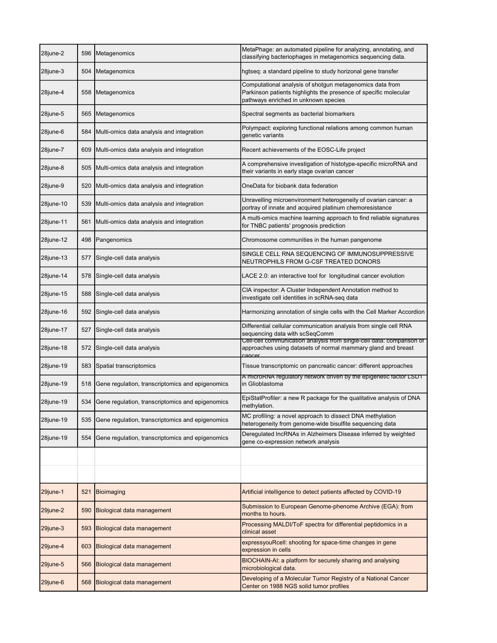| 28june-2  | 596 | Metagenomics                                     | MetaPhage: an automated pipeline for analyzing, annotating, and<br>classifying bacteriophages in metagenomics sequencing data.                                       |
|-----------|-----|--------------------------------------------------|----------------------------------------------------------------------------------------------------------------------------------------------------------------------|
| 28june-3  | 504 | Metagenomics                                     | hgtseq: a standard pipeline to study horizonal gene transfer                                                                                                         |
| 28june-4  | 558 | Metagenomics                                     | Computational analysis of shotgun metagenomics data from<br>Parkinson patients highlights the presence of specific molecular<br>pathways enriched in unknown species |
| 28june-5  | 565 | Metagenomics                                     | Spectral segments as bacterial biomarkers                                                                                                                            |
| 28june-6  | 584 | Multi-omics data analysis and integration        | Polympact: exploring functional relations among common human<br>genetic variants                                                                                     |
| 28june-7  | 609 | Multi-omics data analysis and integration        | Recent achievements of the EOSC-Life project                                                                                                                         |
| 28june-8  | 505 | Multi-omics data analysis and integration        | A comprehensive investigation of histotype-specific microRNA and<br>their variants in early stage ovarian cancer                                                     |
| 28june-9  | 520 | Multi-omics data analysis and integration        | OneData for biobank data federation                                                                                                                                  |
| 28june-10 | 539 | Multi-omics data analysis and integration        | Unravelling microenvironment heterogeneity of ovarian cancer: a<br>portray of innate and acquired platinum chemoresistance                                           |
| 28june-11 | 561 | Multi-omics data analysis and integration        | A multi-omics machine learning approach to find reliable signatures<br>for TNBC patients' prognosis prediction                                                       |
| 28june-12 | 498 | Pangenomics                                      | Chromosome communities in the human pangenome                                                                                                                        |
| 28june-13 | 577 | Single-cell data analysis                        | SINGLE CELL RNA SEQUENCING OF IMMUNOSUPPRESSIVE<br>NEUTROPHILS FROM G-CSF TREATED DONORS                                                                             |
| 28june-14 | 578 | Single-cell data analysis                        | LACE 2.0: an interactive tool for longitudinal cancer evolution                                                                                                      |
| 28june-15 | 588 | Single-cell data analysis                        | CIA inspector: A Cluster Independent Annotation method to<br>investigate cell identities in scRNA-seq data                                                           |
| 28june-16 | 592 | Single-cell data analysis                        | Harmonizing annotation of single cells with the Cell Marker Accordion                                                                                                |
| 28june-17 | 527 | Single-cell data analysis                        | Differential cellular communication analysis from single cell RNA<br>sequencing data with scSeqComm                                                                  |
| 28june-18 | 572 | Single-cell data analysis                        | Cell-cell communication analysis from single-cell data: comparison of<br>approaches using datasets of normal mammary gland and breast<br>cancer                      |
| 28june-19 | 583 | Spatial transcriptomics                          | Tissue transcriptomic on pancreatic cancer: different approaches                                                                                                     |
| 28june-19 | 518 | Gene regulation, transcriptomics and epigenomics | A microRNA regulatory network driven by the epigenetic factor LSD1<br>in Glioblastoma                                                                                |
| 28june-19 | 534 | Gene regulation, transcriptomics and epigenomics | EpiStatProfiler: a new R package for the qualitative analysis of DNA<br>methylation.                                                                                 |
| 28june-19 | 535 | Gene regulation, transcriptomics and epigenomics | MC profiling: a novel approach to dissect DNA methylation<br>heterogeneity from genome-wide bisulfite sequencing data                                                |
| 28june-19 | 554 | Gene regulation, transcriptomics and epigenomics | Deregulated IncRNAs in Alzheimers Disease inferred by weighted<br>gene co-expression network analysis                                                                |
|           |     |                                                  |                                                                                                                                                                      |
| 29june-1  | 521 | Bioimaging                                       | Artificial intelligence to detect patients affected by COVID-19                                                                                                      |
| 29june-2  | 590 | Biological data management                       | Submission to European Genome-phenome Archive (EGA): from<br>months to hours.                                                                                        |
| 29june-3  | 593 | Biological data management                       | Processing MALDI/ToF spectra for differential peptidomics in a<br>clinical asset                                                                                     |
| 29june-4  | 603 | Biological data management                       | expressyouRcell: shooting for space-time changes in gene<br>expression in cells                                                                                      |
| 29june-5  | 566 | Biological data management                       | BIOCHAIN-AI: a platform for securely sharing and analysing<br>microbiological data.                                                                                  |
| 29june-6  | 568 | Biological data management                       | Developing of a Molecular Tumor Registry of a National Cancer<br>Center on 1988 NGS solid tumor profiles                                                             |